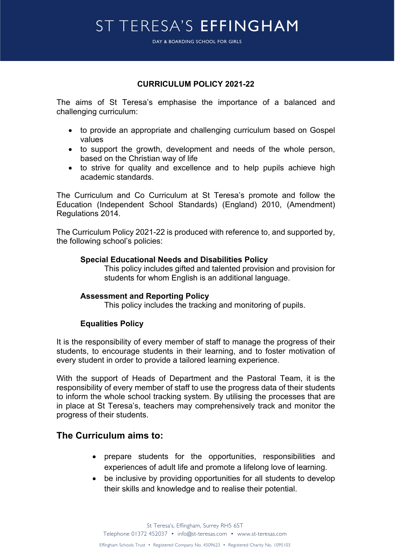DAY & BOARDING SCHOOL FOR GIRLS DAY & BOARDING SCHOOL FOR GIRLS

### **CURRICULUM POLICY 2021-22**

The aims of St Teresa's emphasise the importance of a balanced and challenging curriculum:

- to provide an appropriate and challenging curriculum based on Gospel values
- to support the growth, development and needs of the whole person, based on the Christian way of life
- to strive for quality and excellence and to help pupils achieve high academic standards.

The Curriculum and Co Curriculum at St Teresa's promote and follow the Education (Independent School Standards) (England) 2010, (Amendment) Regulations 2014.

The Curriculum Policy 2021-22 is produced with reference to, and supported by, the following school's policies:

#### **Special Educational Needs and Disabilities Policy**

This policy includes gifted and talented provision and provision for students for whom English is an additional language.

### **Assessment and Reporting Policy**

This policy includes the tracking and monitoring of pupils.

#### **Equalities Policy**

It is the responsibility of every member of staff to manage the progress of their students, to encourage students in their learning, and to foster motivation of every student in order to provide a tailored learning experience.

With the support of Heads of Department and the Pastoral Team, it is the responsibility of every member of staff to use the progress data of their students to inform the whole school tracking system. By utilising the processes that are in place at St Teresa's, teachers may comprehensively track and monitor the progress of their students.

### **The Curriculum aims to:**

- prepare students for the opportunities, responsibilities and experiences of adult life and promote a lifelong love of learning.
- be inclusive by providing opportunities for all students to develop their skills and knowledge and to realise their potential.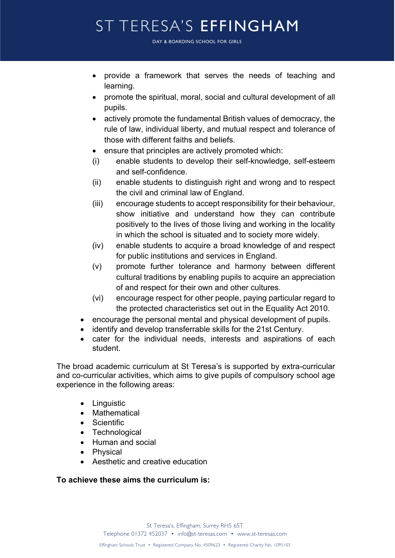DAY & BOARDING SCHOOL FOR GIRLS DAY & BOARDING SCHOOL FOR GIRLS

- provide a framework that serves the needs of teaching and learning.
- promote the spiritual, moral, social and cultural development of all pupils.
- actively promote the fundamental British values of democracy, the rule of law, individual liberty, and mutual respect and tolerance of those with different faiths and beliefs.
- ensure that principles are actively promoted which:
- (i) enable students to develop their self-knowledge, self-esteem and self-confidence.
- (ii) enable students to distinguish right and wrong and to respect the civil and criminal law of England.
- (iii) encourage students to accept responsibility for their behaviour, show initiative and understand how they can contribute positively to the lives of those living and working in the locality in which the school is situated and to society more widely.
- (iv) enable students to acquire a broad knowledge of and respect for public institutions and services in England.
- (v) promote further tolerance and harmony between different cultural traditions by enabling pupils to acquire an appreciation of and respect for their own and other cultures.
- (vi) encourage respect for other people, paying particular regard to the protected characteristics set out in the Equality Act 2010.
- encourage the personal mental and physical development of pupils.
- identify and develop transferrable skills for the 21st Century.
- cater for the individual needs, interests and aspirations of each student.

The broad academic curriculum at St Teresa's is supported by extra-curricular and co-curricular activities, which aims to give pupils of compulsory school age experience in the following areas:

- Linguistic
- Mathematical
- Scientific
- Technological
- Human and social
- Physical
- Aesthetic and creative education

### **To achieve these aims the curriculum is:**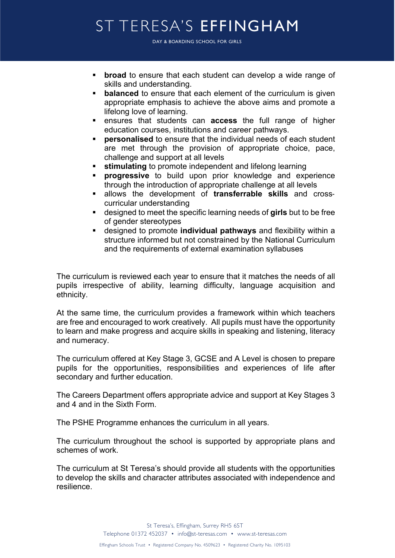DAY & BOARDING SCHOOL FOR GIRLS DAY & BOARDING SCHOOL FOR GIRLS

- **broad** to ensure that each student can develop a wide range of skills and understanding.
- **balanced** to ensure that each element of the curriculum is given appropriate emphasis to achieve the above aims and promote a lifelong love of learning.
- § ensures that students can **access** the full range of higher education courses, institutions and career pathways.
- **• personalised** to ensure that the individual needs of each student are met through the provision of appropriate choice, pace, challenge and support at all levels
- **stimulating** to promote independent and lifelong learning
- § **progressive** to build upon prior knowledge and experience through the introduction of appropriate challenge at all levels
- § allows the development of **transferrable skills** and crosscurricular understanding
- designed to meet the specific learning needs of girls but to be free of gender stereotypes
- § designed to promote **individual pathways** and flexibility within a structure informed but not constrained by the National Curriculum and the requirements of external examination syllabuses

The curriculum is reviewed each year to ensure that it matches the needs of all pupils irrespective of ability, learning difficulty, language acquisition and ethnicity.

At the same time, the curriculum provides a framework within which teachers are free and encouraged to work creatively. All pupils must have the opportunity to learn and make progress and acquire skills in speaking and listening, literacy and numeracy.

The curriculum offered at Key Stage 3, GCSE and A Level is chosen to prepare pupils for the opportunities, responsibilities and experiences of life after secondary and further education.

The Careers Department offers appropriate advice and support at Key Stages 3 and 4 and in the Sixth Form.

The PSHE Programme enhances the curriculum in all years.

The curriculum throughout the school is supported by appropriate plans and schemes of work.

The curriculum at St Teresa's should provide all students with the opportunities to develop the skills and character attributes associated with independence and resilience.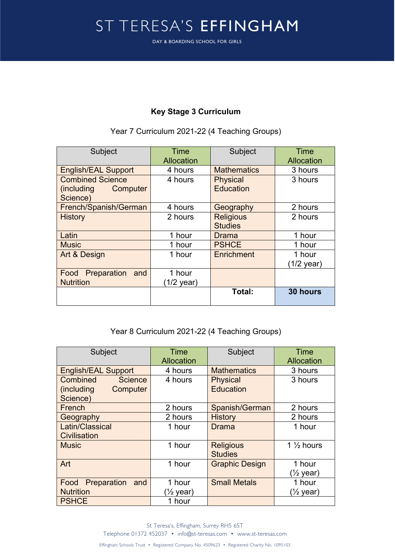DAY & BOARDING SCHOOL FOR GIRLS DAY & BOARDING SCHOOL FOR GIRLS

## **Key Stage 3 Curriculum**

### Year 7 Curriculum 2021-22 (4 Teaching Groups)

| Subject                    | <b>Time</b> | Subject            | Time       |
|----------------------------|-------------|--------------------|------------|
|                            | Allocation  |                    | Allocation |
| <b>English/EAL Support</b> | 4 hours     | <b>Mathematics</b> | 3 hours    |
| <b>Combined Science</b>    | 4 hours     | <b>Physical</b>    | 3 hours    |
| (including)<br>Computer    |             | Education          |            |
| Science)                   |             |                    |            |
| French/Spanish/German      | 4 hours     | Geography          | 2 hours    |
| <b>History</b>             | 2 hours     | <b>Religious</b>   | 2 hours    |
|                            |             | <b>Studies</b>     |            |
| Latin                      | 1 hour      | Drama              | 1 hour     |
| <b>Music</b>               | 1 hour      | <b>PSHCE</b>       | 1 hour     |
| Art & Design               | 1 hour      | Enrichment         | 1 hour     |
|                            |             |                    | (1/2 year) |
| Preparation<br>Food<br>and | 1 hour      |                    |            |
| <b>Nutrition</b>           | (1/2 year)  |                    |            |
|                            |             | Total:             | 30 hours   |
|                            |             |                    |            |

### Year 8 Curriculum 2021-22 (4 Teaching Groups)

| Subject                    | <b>Time</b> | Subject               | <b>Time</b>           |
|----------------------------|-------------|-----------------------|-----------------------|
|                            | Allocation  |                       | Allocation            |
| <b>English/EAL Support</b> | 4 hours     | <b>Mathematics</b>    | 3 hours               |
| Combined<br><b>Science</b> | 4 hours     | <b>Physical</b>       | 3 hours               |
| (including<br>Computer     |             | Education             |                       |
| Science)                   |             |                       |                       |
| French                     | 2 hours     | Spanish/German        | 2 hours               |
| Geography                  | 2 hours     | <b>History</b>        | 2 hours               |
| Latin/Classical            | 1 hour      | Drama                 | 1 hour                |
| Civilisation               |             |                       |                       |
| <b>Music</b>               | 1 hour      | <b>Religious</b>      | 1 $\frac{1}{2}$ hours |
|                            |             | <b>Studies</b>        |                       |
| Art                        | 1 hour      | <b>Graphic Design</b> | 1 hour                |
|                            |             |                       | (½ year)              |
| Preparation<br>Food<br>and | 1 hour      | <b>Small Metals</b>   | 1 hour                |
| <b>Nutrition</b>           | (½ year)    |                       | $(\frac{1}{2}$ year)  |
| <b>PSHCE</b>               | 1 hour      |                       |                       |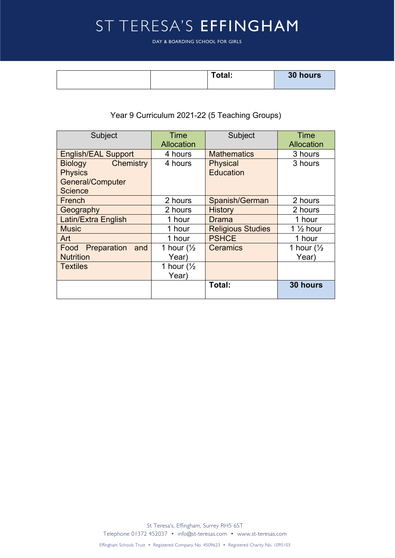DAY & BOARDING SCHOOL FOR GIRLS DAY & BOARDING SCHOOL FOR GIRLS

| Total: | 30 hours |
|--------|----------|
|        |          |

# Year 9 Curriculum 2021-22 (5 Teaching Groups)

| Subject                     | Time<br>Allocation         | Subject                  | <b>Time</b><br>Allocation |
|-----------------------------|----------------------------|--------------------------|---------------------------|
| <b>English/EAL Support</b>  | 4 hours                    | <b>Mathematics</b>       | 3 hours                   |
| Chemistry<br><b>Biology</b> | 4 hours<br><b>Physical</b> |                          | 3 hours                   |
| <b>Physics</b>              |                            | <b>Education</b>         |                           |
| <b>General/Computer</b>     |                            |                          |                           |
| <b>Science</b>              |                            |                          |                           |
| French                      | 2 hours                    | Spanish/German           | 2 hours                   |
| Geography                   | 2 hours                    | <b>History</b>           | 2 hours                   |
| Latin/Extra English         | 1 hour                     | <b>Drama</b>             | 1 hour                    |
| <b>Music</b>                | 1 hour                     | <b>Religious Studies</b> | 1 $\frac{1}{2}$ hour      |
| Art                         | 1 hour                     | <b>PSHCE</b>             | 1 hour                    |
| Preparation<br>Food<br>and  | 1 hour $\frac{1}{2}$       | <b>Ceramics</b>          | 1 hour $\frac{1}{2}$      |
| <b>Nutrition</b>            | Year)                      |                          | Year)                     |
| <b>Textiles</b>             | 1 hour $\frac{1}{2}$       |                          |                           |
|                             | Year)                      |                          |                           |
|                             |                            | Total:                   | 30 hours                  |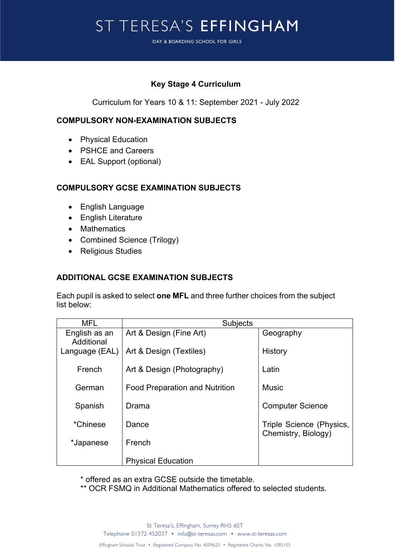DAY & BOARDING SCHOOL FOR GIRLS DAY & BOARDING SCHOOL FOR GIRLS

## **Key Stage 4 Curriculum**

Curriculum for Years 10 & 11: September 2021 - July 2022

### **COMPULSORY NON-EXAMINATION SUBJECTS**

- Physical Education
- PSHCE and Careers
- EAL Support (optional)

## **COMPULSORY GCSE EXAMINATION SUBJECTS**

- English Language
- English Literature
- Mathematics
- Combined Science (Trilogy)
- Religious Studies

## **ADDITIONAL GCSE EXAMINATION SUBJECTS**

Each pupil is asked to select **one MFL** and three further choices from the subject list below:

| MFL                         | <b>Subjects</b>                       |                                                 |  |
|-----------------------------|---------------------------------------|-------------------------------------------------|--|
| English as an<br>Additional | Art & Design (Fine Art)               | Geography                                       |  |
| Language (EAL)              | Art & Design (Textiles)               | History                                         |  |
| French                      | Art & Design (Photography)            | Latin                                           |  |
| German                      | <b>Food Preparation and Nutrition</b> | <b>Music</b>                                    |  |
| Spanish                     | Drama                                 | <b>Computer Science</b>                         |  |
| *Chinese                    | Dance                                 | Triple Science (Physics,<br>Chemistry, Biology) |  |
| *Japanese                   | French                                |                                                 |  |
|                             | <b>Physical Education</b>             |                                                 |  |

\* offered as an extra GCSE outside the timetable.

\*\* OCR FSMQ in Additional Mathematics offered to selected students.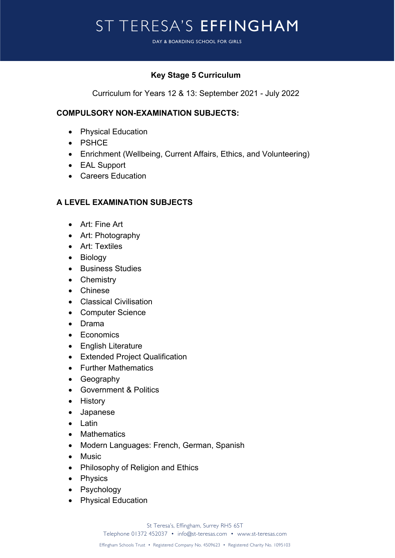DAY & BOARDING SCHOOL FOR GIRLS DAY & BOARDING SCHOOL FOR GIRLS

## **Key Stage 5 Curriculum**

Curriculum for Years 12 & 13: September 2021 - July 2022

### **COMPULSORY NON-EXAMINATION SUBJECTS:**

- Physical Education
- PSHCE
- Enrichment (Wellbeing, Current Affairs, Ethics, and Volunteering)
- EAL Support
- Careers Education

## **A LEVEL EXAMINATION SUBJECTS**

- Art: Fine Art
- Art: Photography
- Art: Textiles
- Biology
- Business Studies
- Chemistry
- Chinese
- Classical Civilisation
- Computer Science
- Drama
- Economics
- English Literature
- Extended Project Qualification
- Further Mathematics
- Geography
- Government & Politics
- History
- Japanese
- Latin
- Mathematics
- Modern Languages: French, German, Spanish
- Music
- Philosophy of Religion and Ethics
- Physics
- Psychology
- Physical Education